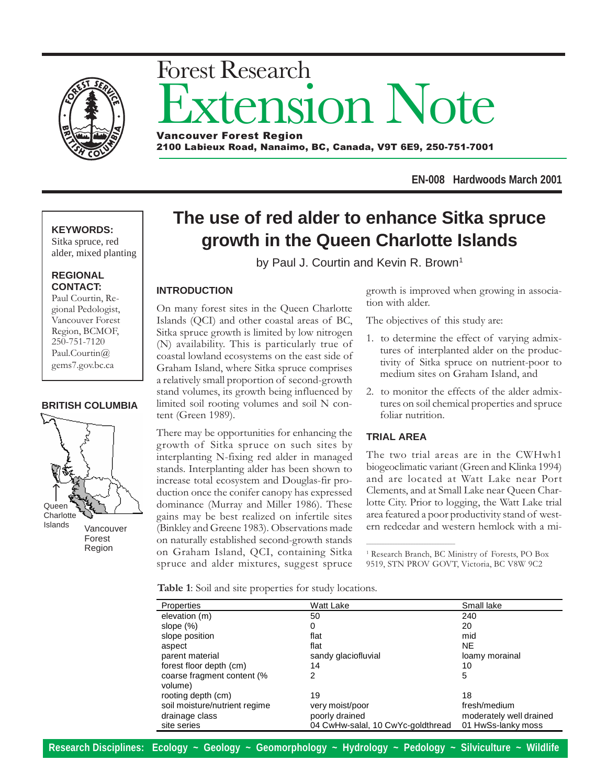

# sion Note Forest Research Vancouver Forest Region

2100 Labieux Road, Nanaimo, BC, Canada, V9T 6E9, 250-751-7001

**EN-008 Hardwoods March 2001**

## **KEYWORDS:**

Sitka spruce, red alder, mixed planting

#### **REGIONAL CONTACT:**

Paul Courtin, Regional Pedologist, Vancouver Forest Region, BCMOF, 250-751-7120 Paul.Courtin@ gems7.gov.bc.ca

#### **BRITISH COLUMBIA**



# **The use of red alder to enhance Sitka spruce growth in the Queen Charlotte Islands**

by Paul J. Courtin and Kevin R. Brown<sup>1</sup>

# **INTRODUCTION**

On many forest sites in the Queen Charlotte Islands (QCI) and other coastal areas of BC, Sitka spruce growth is limited by low nitrogen (N) availability. This is particularly true of coastal lowland ecosystems on the east side of Graham Island, where Sitka spruce comprises a relatively small proportion of second-growth stand volumes, its growth being influenced by limited soil rooting volumes and soil N content (Green 1989).

There may be opportunities for enhancing the growth of Sitka spruce on such sites by interplanting N-fixing red alder in managed stands. Interplanting alder has been shown to increase total ecosystem and Douglas-fir production once the conifer canopy has expressed dominance (Murray and Miller 1986). These gains may be best realized on infertile sites (Binkley and Greene 1983). Observations made on naturally established second-growth stands on Graham Island, QCI, containing Sitka spruce and alder mixtures, suggest spruce

growth is improved when growing in association with alder.

The objectives of this study are:

- 1. to determine the effect of varying admixtures of interplanted alder on the productivity of Sitka spruce on nutrient-poor to medium sites on Graham Island, and
- 2. to monitor the effects of the alder admixtures on soil chemical properties and spruce foliar nutrition.

## **TRIAL AREA**

\_\_\_\_\_\_\_\_\_\_\_\_\_\_\_\_\_\_\_\_\_\_\_\_\_\_\_\_\_\_\_\_\_\_

The two trial areas are in the CWHwh1 biogeoclimatic variant (Green and Klinka 1994) and are located at Watt Lake near Port Clements, and at Small Lake near Queen Charlotte City. Prior to logging, the Watt Lake trial area featured a poor productivity stand of western redcedar and western hemlock with a mi-

<sup>1</sup> Research Branch, BC Ministry of Forests, PO Box 9519, STN PROV GOVT, Victoria, BC V8W 9C2

Table 1: Soil and site properties for study locations.

| Properties                            | Watt Lake                         | Small lake              |
|---------------------------------------|-----------------------------------|-------------------------|
| elevation (m)                         | 50                                | 240                     |
| slope $(\%)$                          | 0                                 | 20                      |
| slope position                        | flat                              | mid                     |
| aspect                                | flat                              | <b>NE</b>               |
| parent material                       | sandy glaciofluvial               | loamy morainal          |
| forest floor depth (cm)               | 14                                | 10                      |
| coarse fragment content (%<br>volume) | 2                                 | 5                       |
| rooting depth (cm)                    | 19                                | 18                      |
| soil moisture/nutrient regime         | very moist/poor                   | fresh/medium            |
| drainage class                        | poorly drained                    | moderately well drained |
| site series                           | 04 CwHw-salal, 10 CwYc-goldthread | 01 HwSs-lanky moss      |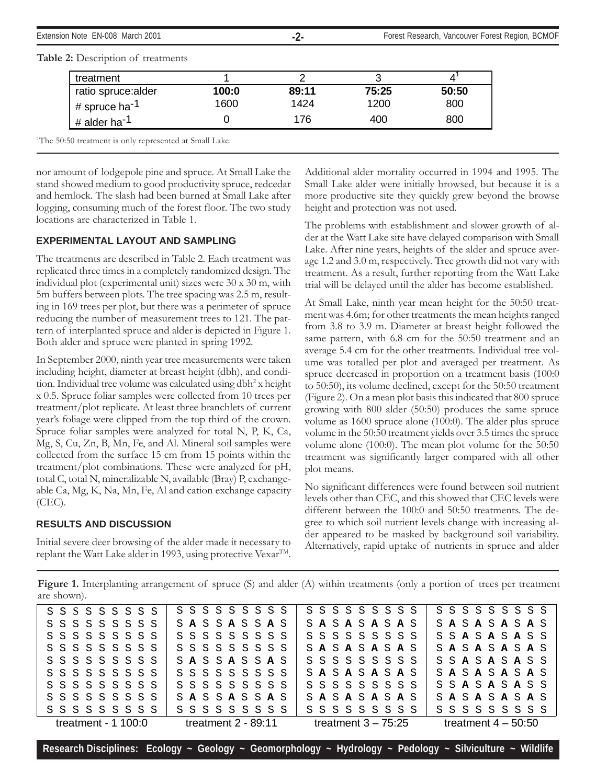Extension Note EN-008 March 2001 **Forest Region, BCMOF 100 Archives -2-** Forest Research, Vancouver Forest Region, BCMOF

| treatment                 |       |       |       |       |
|---------------------------|-------|-------|-------|-------|
| ratio spruce:alder        | 100:0 | 89:11 | 75:25 | 50:50 |
| # spruce ha <sup>-1</sup> | 1600  | 1424  | 1200  | 800   |
| # alder ha <sup>-1</sup>  |       | 176   | 400   | 800   |

#### Table 2: Description of treatments

<sup>1</sup>The 50:50 treatment is only represented at Small Lake.

nor amount of lodgepole pine and spruce. At Small Lake the stand showed medium to good productivity spruce, redcedar and hemlock. The slash had been burned at Small Lake after logging, consuming much of the forest floor. The two study locations are characterized in Table 1.

#### **EXPERIMENTAL LAYOUT AND SAMPLING**

The treatments are described in Table 2. Each treatment was replicated three times in a completely randomized design. The individual plot (experimental unit) sizes were 30 x 30 m, with 5m buffers between plots. The tree spacing was 2.5 m, resulting in 169 trees per plot, but there was a perimeter of spruce reducing the number of measurement trees to 121. The pattern of interplanted spruce and alder is depicted in Figure 1. Both alder and spruce were planted in spring 1992.

In September 2000, ninth year tree measurements were taken including height, diameter at breast height (dbh), and condition. Individual tree volume was calculated using dbh<sup>2</sup> x height x 0.5. Spruce foliar samples were collected from 10 trees per treatment/plot replicate. At least three branchlets of current year's foliage were clipped from the top third of the crown. Spruce foliar samples were analyzed for total N, P, K, Ca, Mg, S, Cu, Zn, B, Mn, Fe, and Al. Mineral soil samples were collected from the surface 15 cm from 15 points within the treatment/plot combinations. These were analyzed for pH, total C, total N, mineralizable N, available (Bray) P, exchangeable Ca, Mg, K, Na, Mn, Fe, Al and cation exchange capacity  $(CEC)$ .

#### **RESULTS AND DISCUSSION**

Initial severe deer browsing of the alder made it necessary to replant the Watt Lake alder in 1993, using protective Vexar<sup>TM</sup>.

Additional alder mortality occurred in 1994 and 1995. The Small Lake alder were initially browsed, but because it is a more productive site they quickly grew beyond the browse height and protection was not used.

The problems with establishment and slower growth of alder at the Watt Lake site have delayed comparison with Small Lake. After nine years, heights of the alder and spruce average 1.2 and 3.0 m, respectively. Tree growth did not vary with treatment. As a result, further reporting from the Watt Lake trial will be delayed until the alder has become established.

At Small Lake, ninth year mean height for the 50:50 treatment was 4.6m; for other treatments the mean heights ranged from 3.8 to 3.9 m. Diameter at breast height followed the same pattern, with 6.8 cm for the 50:50 treatment and an average 5.4 cm for the other treatments. Individual tree volume was totalled per plot and averaged per treatment. As spruce decreased in proportion on a treatment basis (100:0 to 50:50), its volume declined, except for the 50:50 treatment (Figure 2). On a mean plot basis this indicated that 800 spruce growing with 800 alder (50:50) produces the same spruce volume as 1600 spruce alone (100:0). The alder plus spruce volume in the 50:50 treatment yields over 3.5 times the spruce volume alone (100:0). The mean plot volume for the 50:50 treatment was significantly larger compared with all other plot means.

No significant differences were found between soil nutrient levels other than CEC, and this showed that CEC levels were different between the 100:0 and 50:50 treatments. The degree to which soil nutrient levels change with increasing alder appeared to be masked by background soil variability. Alternatively, rapid uptake of nutrients in spruce and alder

Figure 1. Interplanting arrangement of spruce (S) and alder (A) within treatments (only a portion of trees per treatment are shown).

| $S$ $S$ $S$ $S$ $S$ $S$ $S$ $S$ $S$     | $S$ $S$ $S$ $S$ $S$ $S$ $S$ $S$ $S$ | $S$ $S$ $S$ $S$ $S$ $S$ $S$ $S$ $S$ | $S$ $S$ $S$ $S$ $S$ $S$ $S$ $S$ $S$    |
|-----------------------------------------|-------------------------------------|-------------------------------------|----------------------------------------|
| $S \tS \tS \tS \tS \tS \tS \tS \tS$     | SASSASSAS                           | SASASASAS                           | SASASASAS                              |
| $S \tS \tS \tS \tS \tS \tS \tS \tS$     | $S\ S\ S\ S\ S\ S\ S\ S\ S$         | $S$ $S$ $S$ $S$ $S$ $S$ $S$ $S$ $S$ | S S <b>A</b> S <b>A</b> S <b>A</b> S S |
| $S \tS \tS \tS \tS \tS \tS \tS \tS$     | $S\ S\ S\ S\ S\ S\ S\ S\ S$         | SASASASAS                           | SASASASAS                              |
| $S\ S\ S\ S\ S\ S\ S\ S\ S$             | SASSASSAS                           | $S \tS \tS \tS \tS \tS \tS \tS \tS$ | S S <b>A</b> S <b>A</b> S <b>A</b> S S |
| $S\ S\ S\ S\ S\ S\ S\ S\ S$             | $S\ S\ S\ S\ S\ S\ S\ S$            | SASASASAS                           | SASASASAS                              |
| $S \tS \tS \tS \tS \tS \tS \tS \tS \tS$ | $S\ S\ S\ S\ S\ S\ S\ S\ S$         | $S\ S\ S\ S\ S\ S\ S\ S$            | S S <b>A</b> S <b>A</b> S <b>A</b> S S |
| $S \tS \tS \tS \tS \tS \tS \tS \tS$     | SASSASSAS                           | SASASASAS                           | SASASASAS                              |
| $S$ $S$ $S$ $S$ $S$ $S$ $S$ $S$ $S$     | $S\ S\ S\ S\ S\ S\ S\ S\ S$         | $S$ $S$ $S$ $S$ $S$ $S$ $S$ $S$ $S$ | $S$ $S$ $S$ $S$ $S$ $S$ $S$ $S$ $S$    |
| treatment - $1100:0$                    | treatment $2 - 89:11$               | treatment $3 - 75:25$               | treatment $4 - 50:50$                  |

**Research Disciplines: Ecology ~ Geology ~ Geomorphology ~ Hydrology ~ Pedology ~ Silviculture ~ Wildlife**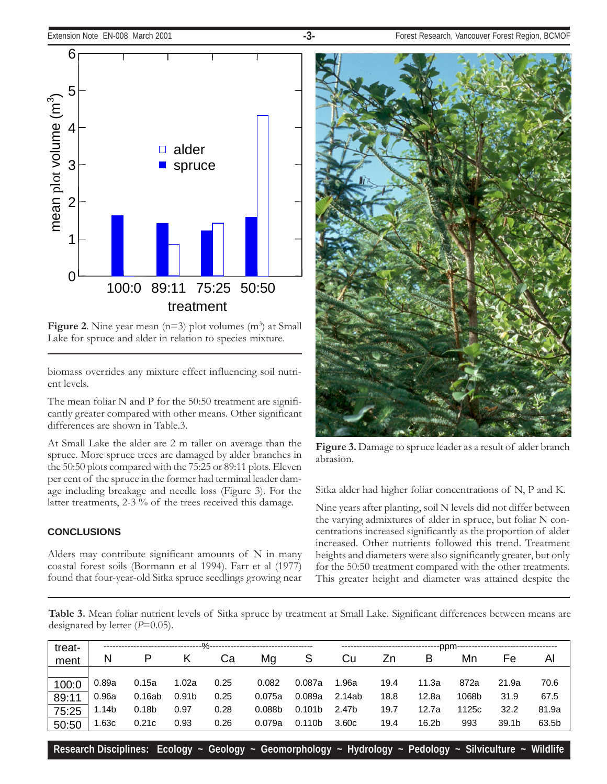

Figure 2. Nine year mean  $(n=3)$  plot volumes  $(m^3)$  at Small Lake for spruce and alder in relation to species mixture.

biomass overrides any mixture effect influencing soil nutrient levels.

The mean foliar N and P for the 50:50 treatment are significantly greater compared with other means. Other significant differences are shown in Table.3.

At Small Lake the alder are 2 m taller on average than the spruce. More spruce trees are damaged by alder branches in the 50:50 plots compared with the 75:25 or 89:11 plots. Eleven per cent of the spruce in the former had terminal leader damage including breakage and needle loss (Figure 3). For the latter treatments, 2-3 % of the trees received this damage.

#### **CONCLUSIONS**

Alders may contribute significant amounts of N in many coastal forest soils (Bormann et al 1994). Farr et al (1977) found that four-year-old Sitka spruce seedlings growing near



Figure 3. Damage to spruce leader as a result of alder branch abrasion.

Sitka alder had higher foliar concentrations of N, P and K.

Nine years after planting, soil N levels did not differ between the varying admixtures of alder in spruce, but foliar N concentrations increased significantly as the proportion of alder increased. Other nutrients followed this trend. Treatment heights and diameters were also significantly greater, but only for the 50:50 treatment compared with the other treatments. This greater height and diameter was attained despite the

Table 3. Mean foliar nutrient levels of Sitka spruce by treatment at Small Lake. Significant differences between means are designated by letter  $(P=0.05)$ .

| treat- |       |                   | ------%---        |      |                    |                    |        |      | ----------------------ppm--- |       |                   |       |
|--------|-------|-------------------|-------------------|------|--------------------|--------------------|--------|------|------------------------------|-------|-------------------|-------|
| ment   | N     | P                 |                   | Ca   | Mg                 | S                  | Cu     | Zn   | В                            | Mn    | Fe                | Al    |
|        |       |                   |                   |      |                    |                    |        |      |                              |       |                   |       |
| 100:0  | 0.89a | 0.15a             | 1.02a             | 0.25 | 0.082              | 0.087a             | 1.96a  | 19.4 | 11.3a                        | 872a  | 21.9a             | 70.6  |
| 89:11  | 0.96a | 0.16ab            | 0.91 <sub>b</sub> | 0.25 | 0.075a             | 0.089a             | 2.14ab | 18.8 | 12.8a                        | 1068b | 31.9              | 67.5  |
| 75:25  | 1.14b | 0.18 <sub>b</sub> | 0.97              | 0.28 | 0.088 <sub>b</sub> | 0.101 <sub>b</sub> | 2.47b  | 19.7 | 12.7a                        | 1125c | 32.2              | 81.9a |
| 50:50  | .63c  | 0.21c             | 0.93              | 0.26 | 0.079a             | 0.110 <sub>b</sub> | 3.60c  | 19.4 | 16.2b                        | 993   | 39.1 <sub>b</sub> | 63.5b |

**Research Disciplines: Ecology ~ Geology ~ Geomorphology ~ Hydrology ~ Pedology ~ Silviculture ~ Wildlife**